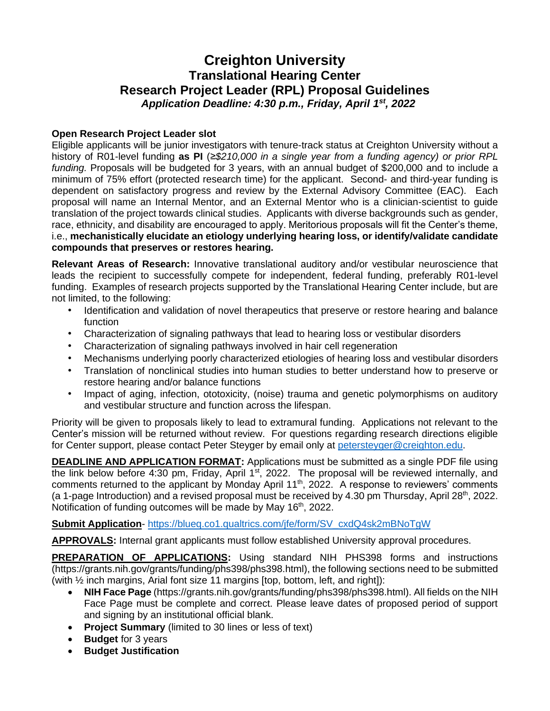# **Creighton University Translational Hearing Center Research Project Leader (RPL) Proposal Guidelines** *Application Deadline: 4:30 p.m., Friday, April 1 st, 2022*

## **Open Research Project Leader slot**

Eligible applicants will be junior investigators with tenure-track status at Creighton University without a history of R01-level funding **as PI** (*≥\$210,000 in a single year from a funding agency) or prior RPL funding.* Proposals will be budgeted for 3 years, with an annual budget of \$200,000 and to include a minimum of 75% effort (protected research time) for the applicant. Second- and third-year funding is dependent on satisfactory progress and review by the External Advisory Committee (EAC). Each proposal will name an Internal Mentor, and an External Mentor who is a clinician-scientist to guide translation of the project towards clinical studies. Applicants with diverse backgrounds such as gender, race, ethnicity, and disability are encouraged to apply. Meritorious proposals will fit the Center's theme, i.e., **mechanistically elucidate an etiology underlying hearing loss, or identify/validate candidate compounds that preserves or restores hearing.**

**Relevant Areas of Research:** Innovative translational auditory and/or vestibular neuroscience that leads the recipient to successfully compete for independent, federal funding, preferably R01-level funding. Examples of research projects supported by the Translational Hearing Center include, but are not limited, to the following:

- Identification and validation of novel therapeutics that preserve or restore hearing and balance function
- Characterization of signaling pathways that lead to hearing loss or vestibular disorders
- Characterization of signaling pathways involved in hair cell regeneration
- Mechanisms underlying poorly characterized etiologies of hearing loss and vestibular disorders
- Translation of nonclinical studies into human studies to better understand how to preserve or restore hearing and/or balance functions
- Impact of aging, infection, ototoxicity, (noise) trauma and genetic polymorphisms on auditory and vestibular structure and function across the lifespan.

Priority will be given to proposals likely to lead to extramural funding. Applications not relevant to the Center's mission will be returned without review. For questions regarding research directions eligible for Center support, please contact Peter Steyger by email only at [petersteyger@creighton.edu.](about:blank)

**DEADLINE AND APPLICATION FORMAT:** Applications must be submitted as a single PDF file using the link below before 4:30 pm, Friday, April 1<sup>st</sup>, 2022. The proposal will be reviewed internally, and comments returned to the applicant by Monday April 11<sup>th</sup>, 2022. A response to reviewers' comments (a 1-page Introduction) and a revised proposal must be received by 4.30 pm Thursday, April 28<sup>th</sup>, 2022. Notification of funding outcomes will be made by May 16<sup>th</sup>, 2022.

## **Submit Application**- [https://blueq.co1.qualtrics.com/jfe/form/SV\\_cxdQ4sk2mBNoTgW](https://blueq.co1.qualtrics.com/jfe/form/SV_cxdQ4sk2mBNoTgW)

**APPROVALS:** Internal grant applicants must follow established University approval procedures.

**PREPARATION OF APPLICATIONS:** Using standard NIH PHS398 forms and instructions (https://grants.nih.gov/grants/funding/phs398/phs398.html), the following sections need to be submitted (with ½ inch margins, Arial font size 11 margins [top, bottom, left, and right]):

- **NIH Face Page** (https://grants.nih.gov/grants/funding/phs398/phs398.html). All fields on the NIH Face Page must be complete and correct. Please leave dates of proposed period of support and signing by an institutional official blank.
- **Project Summary** (limited to 30 lines or less of text)
- **Budget** for 3 years
- **Budget Justification**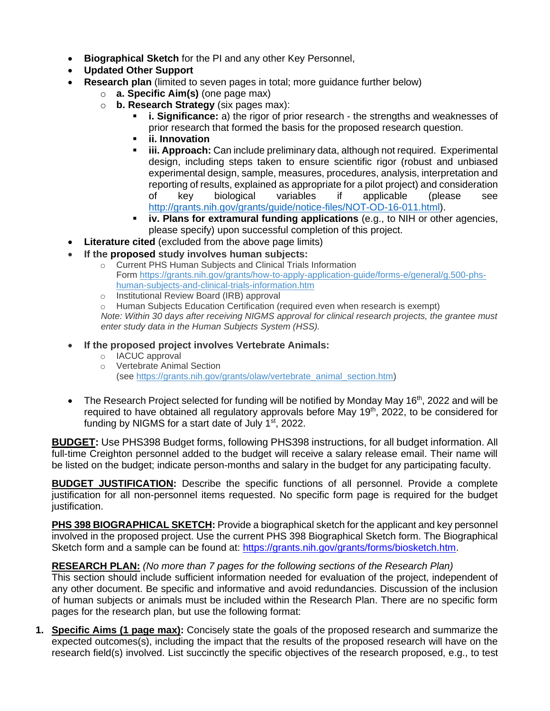- **Biographical Sketch** for the PI and any other Key Personnel,
- **Updated Other Support**
- **Research plan** (limited to seven pages in total; more guidance further below)
	- o **a. Specific Aim(s)** (one page max)
	- o **b. Research Strategy** (six pages max):
		- **i. Significance:** a) the rigor of prior research the strengths and weaknesses of prior research that formed the basis for the proposed research question.
		- **ii. Innovation**
		- **iii. Approach:** Can include preliminary data, although not required. Experimental design, including steps taken to ensure scientific rigor (robust and unbiased experimental design, sample, measures, procedures, analysis, interpretation and reporting of results, explained as appropriate for a pilot project) and consideration of key biological variables if applicable (please see [http://grants.nih.gov/grants/guide/notice-files/NOT-OD-16-011.html\)](about:blank).
		- **iv. Plans for extramural funding applications** (e.g., to NIH or other agencies, please specify) upon successful completion of this project.
- **Literature cited** (excluded from the above page limits)
- **If the proposed study involves human subjects:**
	- o Current PHS Human Subjects and Clinical Trials Information Form [https://grants.nih.gov/grants/how-to-apply-application-guide/forms-e/general/g.500-phs](about:blank)[human-subjects-and-clinical-trials-information.htm](about:blank)
	- o Institutional Review Board (IRB) approval

o Human Subjects Education Certification (required even when research is exempt) *Note: Within 30 days after receiving NIGMS approval for clinical research projects, the grantee must enter study data in the Human Subjects System (HSS).*

- **If the proposed project involves Vertebrate Animals:**
	- o IACUC approval
	- o Vertebrate Animal Section (see [https://grants.nih.gov/grants/olaw/vertebrate\\_animal\\_section.htm\)](about:blank)
- The Research Project selected for funding will be notified by Monday May 16<sup>th</sup>, 2022 and will be required to have obtained all regulatory approvals before May 19<sup>th</sup>, 2022, to be considered for funding by NIGMS for a start date of July  $1<sup>st</sup>$ , 2022.

**BUDGET:** Use PHS398 Budget forms, following PHS398 instructions, for all budget information. All full-time Creighton personnel added to the budget will receive a salary release email. Their name will be listed on the budget; indicate person-months and salary in the budget for any participating faculty.

**BUDGET JUSTIFICATION:** Describe the specific functions of all personnel. Provide a complete justification for all non-personnel items requested. No specific form page is required for the budget justification.

**[PHS](about:blank) [398](about:blank) [BIOGRAPHICAL](about:blank) [SKETCH:](about:blank)** Provide a biographical sketch for the applicant and key personnel involved in the proposed project. Use the current PHS 398 Biographical Sketch form. The Biographical Sketch form and a sample can be found at: [https://grants.nih.gov/grants/forms/biosketch.htm.](about:blank)

# **RESEARCH PLAN:** *(No more than 7 pages for the following sections of the Research Plan)*

This section should include sufficient information needed for evaluation of the project, independent of any other document. Be specific and informative and avoid redundancies. Discussion of the inclusion of human subjects or animals must be included within the Research Plan. There are no specific form pages for the research plan, but use the following format:

**1. Specific Aims (1 page max):** Concisely state the goals of the proposed research and summarize the expected outcomes(s), including the impact that the results of the proposed research will have on the research field(s) involved. List succinctly the specific objectives of the research proposed, e.g., to test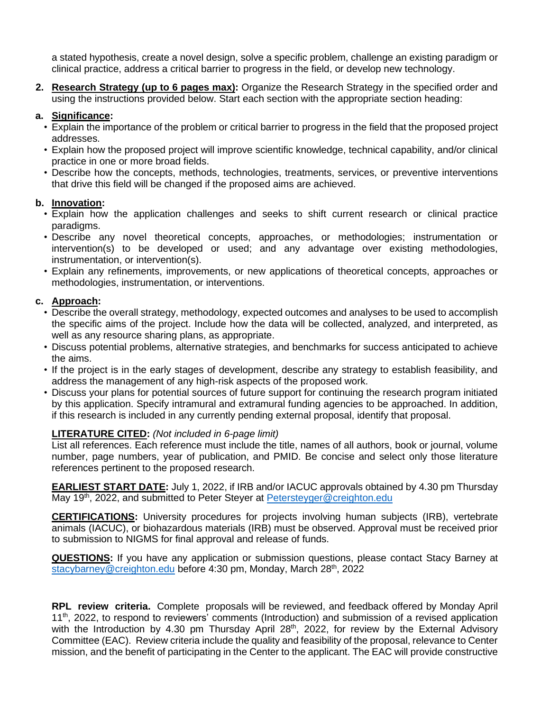a stated hypothesis, create a novel design, solve a specific problem, challenge an existing paradigm or clinical practice, address a critical barrier to progress in the field, or develop new technology.

**2. Research Strategy (up to 6 pages max):** Organize the Research Strategy in the specified order and using the instructions provided below. Start each section with the appropriate section heading:

## **a. Significance:**

- Explain the importance of the problem or critical barrier to progress in the field that the proposed project addresses.
- Explain how the proposed project will improve scientific knowledge, technical capability, and/or clinical practice in one or more broad fields.
- Describe how the concepts, methods, technologies, treatments, services, or preventive interventions that drive this field will be changed if the proposed aims are achieved.

## **b. Innovation:**

- Explain how the application challenges and seeks to shift current research or clinical practice paradigms.
- Describe any novel theoretical concepts, approaches, or methodologies; instrumentation or intervention(s) to be developed or used; and any advantage over existing methodologies, instrumentation, or intervention(s).
- Explain any refinements, improvements, or new applications of theoretical concepts, approaches or methodologies, instrumentation, or interventions.

# **c. Approach:**

- Describe the overall strategy, methodology, expected outcomes and analyses to be used to accomplish the specific aims of the project. Include how the data will be collected, analyzed, and interpreted, as well as any resource sharing plans, as appropriate.
- Discuss potential problems, alternative strategies, and benchmarks for success anticipated to achieve the aims.
- If the project is in the early stages of development, describe any strategy to establish feasibility, and address the management of any high-risk aspects of the proposed work.
- Discuss your plans for potential sources of future support for continuing the research program initiated by this application. Specify intramural and extramural funding agencies to be approached. In addition, if this research is included in any currently pending external proposal, identify that proposal.

# **LITERATURE CITED:** *(Not included in 6-page limit)*

List all references. Each reference must include the title, names of all authors, book or journal, volume number, page numbers, year of publication, and PMID. Be concise and select only those literature references pertinent to the proposed research.

**EARLIEST START DATE:** July 1, 2022, if IRB and/or IACUC approvals obtained by 4.30 pm Thursday May 19<sup>th</sup>, 2022, and submitted to Peter Steyer at **Petersteyger@creighton.edu** 

**CERTIFICATIONS:** University procedures for projects involving human subjects (IRB), vertebrate animals (IACUC), or biohazardous materials (IRB) must be observed. Approval must be received prior to submission to NIGMS for final approval and release of funds.

**QUESTIONS:** If you have any application or submission questions, please contact Stacy Barney at [stacybarney@creighton.edu](about:blank) before 4:30 pm, Monday, March 28<sup>th</sup>, 2022

**RPL review criteria.** Complete proposals will be reviewed, and feedback offered by Monday April 11<sup>th</sup>, 2022, to respond to reviewers' comments (Introduction) and submission of a revised application with the Introduction by 4.30 pm Thursday April 28<sup>th</sup>, 2022, for review by the External Advisory Committee (EAC). Review criteria include the quality and feasibility of the proposal, relevance to Center mission, and the benefit of participating in the Center to the applicant. The EAC will provide constructive